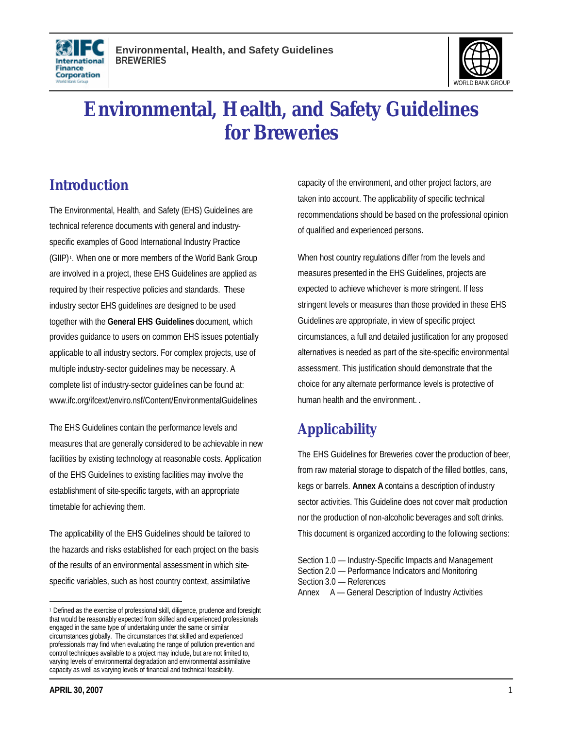



# **Environmental, Health, and Safety Guidelines for Breweries**

# **Introduction**

The Environmental, Health, and Safety (EHS) Guidelines are technical reference documents with general and industryspecific examples of Good International Industry Practice (GIIP) <sup>1</sup> . When one or more members of the World Bank Group are involved in a project, these EHS Guidelines are applied as required by their respective policies and standards. These industry sector EHS guidelines are designed to be used together with the **General EHS Guidelines** document, which provides guidance to users on common EHS issues potentially applicable to all industry sectors. For complex projects, use of multiple industry-sector guidelines may be necessary. A complete list of industry-sector guidelines can be found at: www.ifc.org/ifcext/enviro.nsf/Content/EnvironmentalGuidelines

The EHS Guidelines contain the performance levels and measures that are generally considered to be achievable in new facilities by existing technology at reasonable costs. Application of the EHS Guidelines to existing facilities may involve the establishment of site-specific targets, with an appropriate timetable for achieving them.

The applicability of the EHS Guidelines should be tailored to the hazards and risks established for each project on the basis of the results of an environmental assessment in which sitespecific variables, such as host country context, assimilative

capacity of the environment, and other project factors, are taken into account. The applicability of specific technical recommendations should be based on the professional opinion of qualified and experienced persons.

When host country regulations differ from the levels and measures presented in the EHS Guidelines, projects are expected to achieve whichever is more stringent. If less stringent levels or measures than those provided in these EHS Guidelines are appropriate, in view of specific project circumstances, a full and detailed justification for any proposed alternatives is needed as part of the site-specific environmental assessment. This justification should demonstrate that the choice for any alternate performance levels is protective of human health and the environment. .

# **Applicability**

The EHS Guidelines for Breweries cover the production of beer, from raw material storage to dispatch of the filled bottles, cans, kegs or barrels. **Annex A** contains a description of industry sector activities. This Guideline does not cover malt production nor the production of non-alcoholic beverages and soft drinks. This document is organized according to the following sections:

Section 1.0 — Industry-Specific Impacts and Management Section 2.0 — Performance Indicators and Monitoring Section 3.0 — References Annex A — General Description of Industry Activities

 $\overline{a}$ <sup>1</sup> Defined as the exercise of professional skill, diligence, prudence and foresight that would be reasonably expected from skilled and experienced professionals engaged in the same type of undertaking under the same or similar circumstances globally. The circumstances that skilled and experienced professionals may find when evaluating the range of pollution prevention and control techniques available to a project may include, but are not limited to, varying levels of environmental degradation and environmental assimilative capacity as well as varying levels of financial and technical feasibility.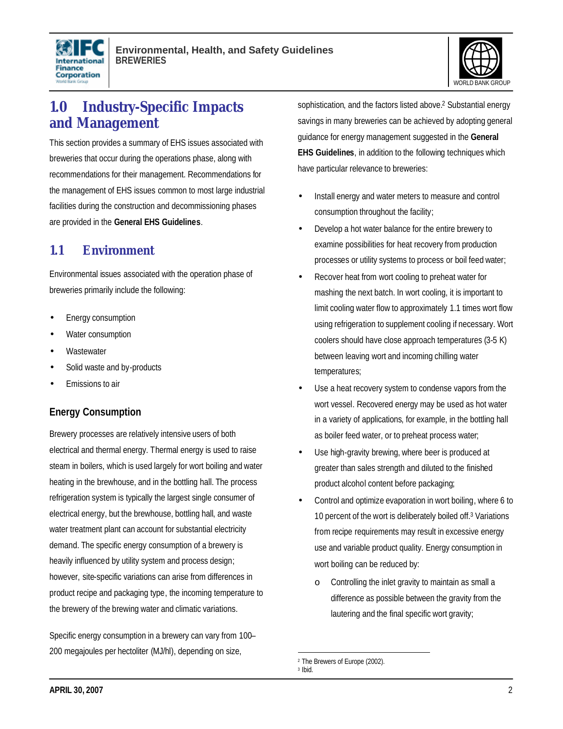



# **1.0 Industry-Specific Impacts and Management**

This section provides a summary of EHS issues associated with breweries that occur during the operations phase, along with recommendations for their management. Recommendations for the management of EHS issues common to most large industrial facilities during the construction and decommissioning phases are provided in the **General EHS Guidelines**.

# **1.1 Environment**

Environmental issues associated with the operation phase of breweries primarily include the following:

- Energy consumption
- Water consumption
- **Wastewater**
- Solid waste and by-products
- Emissions to air

### **Energy Consumption**

Brewery processes are relatively intensive users of both electrical and thermal energy. Thermal energy is used to raise steam in boilers, which is used largely for wort boiling and water heating in the brewhouse, and in the bottling hall. The process refrigeration system is typically the largest single consumer of electrical energy, but the brewhouse, bottling hall, and waste water treatment plant can account for substantial electricity demand. The specific energy consumption of a brewery is heavily influenced by utility system and process design; however, site-specific variations can arise from differences in product recipe and packaging type, the incoming temperature to the brewery of the brewing water and climatic variations.

Specific energy consumption in a brewery can vary from 100– 200 megajoules per hectoliter (MJ/hl), depending on size,

sophistication, and the factors listed above.<sup>2</sup> Substantial energy savings in many breweries can be achieved by adopting general guidance for energy management suggested in the **General EHS Guidelines**, in addition to the following techniques which have particular relevance to breweries:

- Install energy and water meters to measure and control consumption throughout the facility;
- Develop a hot water balance for the entire brewery to examine possibilities for heat recovery from production processes or utility systems to process or boil feed water;
- Recover heat from wort cooling to preheat water for mashing the next batch. In wort cooling, it is important to limit cooling water flow to approximately 1.1 times wort flow using refrigeration to supplement cooling if necessary. Wort coolers should have close approach temperatures (3-5 K) between leaving wort and incoming chilling water temperatures;
- Use a heat recovery system to condense vapors from the wort vessel. Recovered energy may be used as hot water in a variety of applications, for example, in the bottling hall as boiler feed water, or to preheat process water;
- Use high-gravity brewing, where beer is produced at greater than sales strength and diluted to the finished product alcohol content before packaging;
- Control and optimize evaporation in wort boiling, where 6 to 10 percent of the wort is deliberately boiled off.<sup>3</sup> Variations from recipe requirements may result in excessive energy use and variable product quality. Energy consumption in wort boiling can be reduced by:
	- o Controlling the inlet gravity to maintain as small a difference as possible between the gravity from the lautering and the final specific wort gravity;

<sup>2</sup> The Brewers of Europe (2002).

<sup>3</sup> Ibid.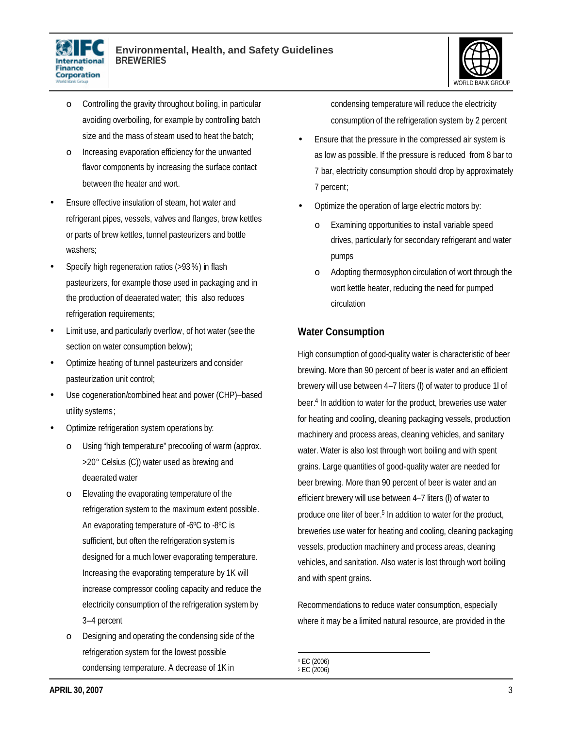



- o Controlling the gravity throughout boiling, in particular avoiding overboiling, for example by controlling batch size and the mass of steam used to heat the batch;
- o Increasing evaporation efficiency for the unwanted flavor components by increasing the surface contact between the heater and wort.
- Ensure effective insulation of steam, hot water and refrigerant pipes, vessels, valves and flanges, brew kettles or parts of brew kettles, tunnel pasteurizers and bottle washers;
- Specify high regeneration ratios (>93 %) in flash pasteurizers, for example those used in packaging and in the production of deaerated water; this also reduces refrigeration requirements;
- Limit use, and particularly overflow, of hot water (see the section on water consumption below);
- Optimize heating of tunnel pasteurizers and consider pasteurization unit control;
- Use cogeneration/combined heat and power (CHP)-based utility systems;
- Optimize refrigeration system operations by:
	- o Using "high temperature" precooling of warm (approx. >20° Celsius (C)) water used as brewing and deaerated water
	- o Elevating the evaporating temperature of the refrigeration system to the maximum extent possible. An evaporating temperature of -6ºC to -8ºC is sufficient, but often the refrigeration system is designed for a much lower evaporating temperature. Increasing the evaporating temperature by 1K will increase compressor cooling capacity and reduce the electricity consumption of the refrigeration system by 3–4 percent
	- Designing and operating the condensing side of the refrigeration system for the lowest possible condensing temperature. A decrease of 1K in

condensing temperature will reduce the electricity consumption of the refrigeration system by 2 percent

- Ensure that the pressure in the compressed air system is as low as possible. If the pressure is reduced from 8 bar to 7 bar, electricity consumption should drop by approximately 7 percent;
- Optimize the operation of large electric motors by:
	- o Examining opportunities to install variable speed drives, particularly for secondary refrigerant and water pumps
	- o Adopting thermosyphon circulation of wort through the wort kettle heater, reducing the need for pumped circulation

# **Water Consumption**

High consumption of good-quality water is characteristic of beer brewing. More than 90 percent of beer is water and an efficient brewery will use between 4–7 liters (l) of water to produce 1l of beer.<sup>4</sup> In addition to water for the product, breweries use water for heating and cooling, cleaning packaging vessels, production machinery and process areas, cleaning vehicles, and sanitary water. Water is also lost through wort boiling and with spent grains. Large quantities of good-quality water are needed for beer brewing. More than 90 percent of beer is water and an efficient brewery will use between 4–7 liters (l) of water to produce one liter of beer. 5 In addition to water for the product, breweries use water for heating and cooling, cleaning packaging vessels, production machinery and process areas, cleaning vehicles, and sanitation. Also water is lost through wort boiling and with spent grains.

Recommendations to reduce water consumption, especially where it may be a limited natural resource, are provided in the

 4 EC (2006) 5 EC (2006)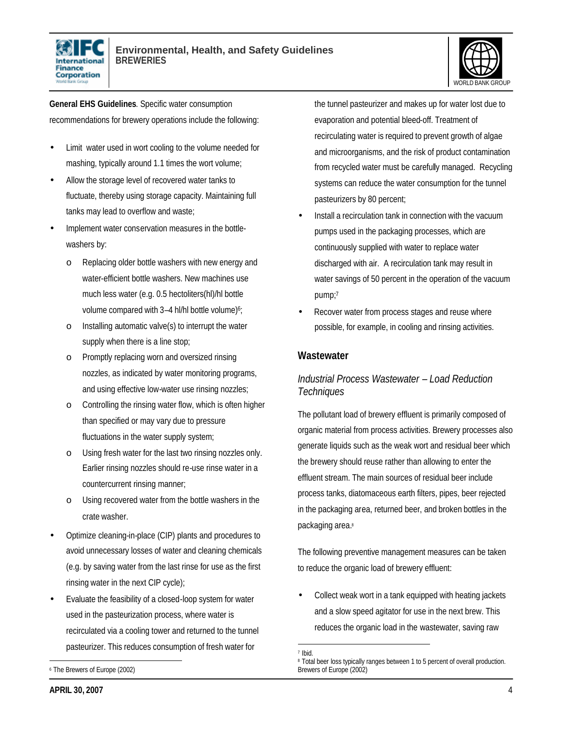



**General EHS Guidelines**. Specific water consumption recommendations for brewery operations include the following:

- Limit water used in wort cooling to the volume needed for mashing, typically around 1.1 times the wort volume;
- Allow the storage level of recovered water tanks to fluctuate, thereby using storage capacity. Maintaining full tanks may lead to overflow and waste;
- Implement water conservation measures in the bottlewashers by:
	- o Replacing older bottle washers with new energy and water-efficient bottle washers. New machines use much less water (e.g. 0.5 hectoliters(hl)/hl bottle volume compared with  $3-4$  hl/hl bottle volume)<sup>6</sup>;
	- o Installing automatic valve(s) to interrupt the water supply when there is a line stop;
	- o Promptly replacing worn and oversized rinsing nozzles, as indicated by water monitoring programs, and using effective low-water use rinsing nozzles;
	- o Controlling the rinsing water flow, which is often higher than specified or may vary due to pressure fluctuations in the water supply system;
	- o Using fresh water for the last two rinsing nozzles only. Earlier rinsing nozzles should re-use rinse water in a countercurrent rinsing manner;
	- Using recovered water from the bottle washers in the crate washer.
- Optimize cleaning-in-place (CIP) plants and procedures to avoid unnecessary losses of water and cleaning chemicals (e.g. by saving water from the last rinse for use as the first rinsing water in the next CIP cycle);
- Evaluate the feasibility of a closed-loop system for water used in the pasteurization process, where water is recirculated via a cooling tower and returned to the tunnel pasteurizer. This reduces consumption of fresh water for

 $\overline{a}$ <sup>6</sup> The Brewers of Europe (2002) the tunnel pasteurizer and makes up for water lost due to evaporation and potential bleed-off. Treatment of recirculating water is required to prevent growth of algae and microorganisms, and the risk of product contamination from recycled water must be carefully managed. Recycling systems can reduce the water consumption for the tunnel pasteurizers by 80 percent;

- Install a recirculation tank in connection with the vacuum pumps used in the packaging processes, which are continuously supplied with water to replace water discharged with air. A recirculation tank may result in water savings of 50 percent in the operation of the vacuum pump;<sup>7</sup>
- Recover water from process stages and reuse where possible, for example, in cooling and rinsing activities.

#### **Wastewater**

#### *Industrial Process Wastewater – Load Reduction Techniques*

The pollutant load of brewery effluent is primarily composed of organic material from process activities. Brewery processes also generate liquids such as the weak wort and residual beer which the brewery should reuse rather than allowing to enter the effluent stream. The main sources of residual beer include process tanks, diatomaceous earth filters, pipes, beer rejected in the packaging area, returned beer, and broken bottles in the packaging area.<sup>8</sup>

The following preventive management measures can be taken to reduce the organic load of brewery effluent:

• Collect weak wort in a tank equipped with heating jackets and a slow speed agitator for use in the next brew. This reduces the organic load in the wastewater, saving raw

<sup>&</sup>lt;u>.</u> 7 Ibid.

<sup>&</sup>lt;sup>8</sup> Total beer loss typically ranges between 1 to 5 percent of overall production. Brewers of Europe (2002)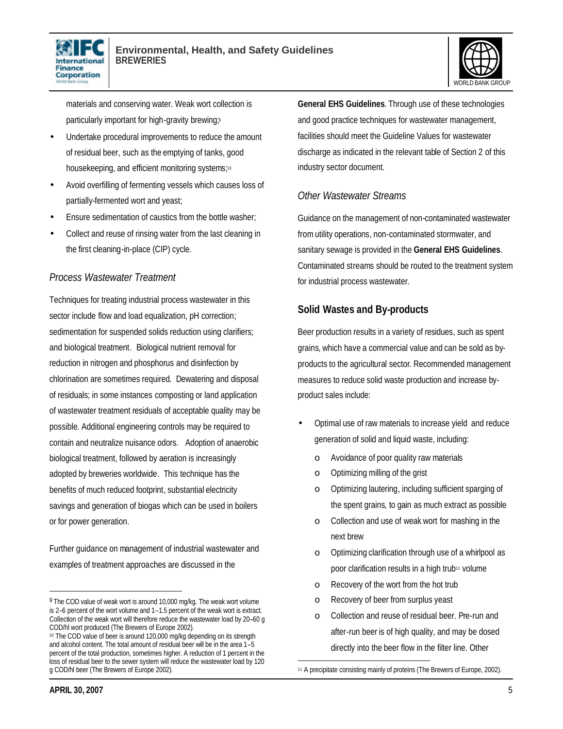



materials and conserving water. Weak wort collection is particularly important for high-gravity brewing;<sup>9</sup>

- Undertake procedural improvements to reduce the amount of residual beer, such as the emptying of tanks, good housekeeping, and efficient monitoring systems;<sup>10</sup>
- Avoid overfilling of fermenting vessels which causes loss of partially-fermented wort and yeast;
- Ensure sedimentation of caustics from the bottle washer;
- Collect and reuse of rinsing water from the last cleaning in the first cleaning-in-place (CIP) cycle.

### *Process Wastewater Treatment*

Techniques for treating industrial process wastewater in this sector include flow and load equalization, pH correction; sedimentation for suspended solids reduction using clarifiers; and biological treatment. Biological nutrient removal for reduction in nitrogen and phosphorus and disinfection by chlorination are sometimes required. Dewatering and disposal of residuals; in some instances composting or land application of wastewater treatment residuals of acceptable quality may be possible. Additional engineering controls may be required to contain and neutralize nuisance odors. Adoption of anaerobic biological treatment, followed by aeration is increasingly adopted by breweries worldwide. This technique has the benefits of much reduced footprint, substantial electricity savings and generation of biogas which can be used in boilers or for power generation.

Further guidance on management of industrial wastewater and examples of treatment approaches are discussed in the

**General EHS Guidelines**. Through use of these technologies and good practice techniques for wastewater management, facilities should meet the Guideline Values for wastewater discharge as indicated in the relevant table of Section 2 of this industry sector document.

### *Other Wastewater Streams*

Guidance on the management of non-contaminated wastewater from utility operations, non-contaminated stormwater, and sanitary sewage is provided in the **General EHS Guidelines**. Contaminated streams should be routed to the treatment system for industrial process wastewater.

### **Solid Wastes and By-products**

Beer production results in a variety of residues, such as spent grains, which have a commercial value and can be sold as byproducts to the agricultural sector. Recommended management measures to reduce solid waste production and increase byproduct sales include:

- Optimal use of raw materials to increase yield and reduce generation of solid and liquid waste, including:
	- o Avoidance of poor quality raw materials
	- o Optimizing milling of the grist
	- o Optimizing lautering, including sufficient sparging of the spent grains, to gain as much extract as possible
	- o Collection and use of weak wort for mashing in the next brew
	- o Optimizing clarification through use of a whirlpool as poor clarification results in a high trub11 volume
	- o Recovery of the wort from the hot trub
	- o Recovery of beer from surplus yeast
	- o Collection and reuse of residual beer. Pre-run and after-run beer is of high quality, and may be dosed directly into the beer flow in the filter line. Other

<sup>&</sup>lt;sup>9</sup> The COD value of weak wort is around 10,000 mg/kg. The weak wort volume is 2–6 percent of the wort volume and 1–1.5 percent of the weak wort is extract. Collection of the weak wort will therefore reduce the wastewater load by 20–60 g COD/hl wort produced (The Brewers of Europe 2002).

<sup>10</sup> The COD value of beer is around 120,000 mg/kg depending on its strength and alcohol content. The total amount of residual beer will be in the area 1-5 percent of the total production, sometimes higher. A reduction of 1 percent in the loss of residual beer to the sewer system will reduce the wastewater load by 120 g COD/hl beer (The Brewers of Europe 2002).

<sup>1</sup> 11 A precipitate consisting mainly of proteins (The Brewers of Europe, 2002).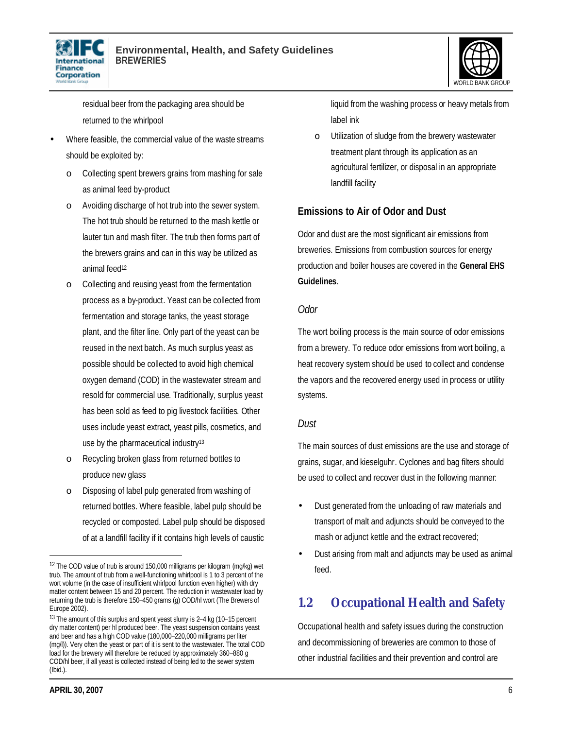



residual beer from the packaging area should be returned to the whirlpool

- Where feasible, the commercial value of the waste streams should be exploited by:
	- o Collecting spent brewers grains from mashing for sale as animal feed by-product
	- o Avoiding discharge of hot trub into the sewer system. The hot trub should be returned to the mash kettle or lauter tun and mash filter. The trub then forms part of the brewers grains and can in this way be utilized as animal feed<sup>12</sup>
	- o Collecting and reusing yeast from the fermentation process as a by-product. Yeast can be collected from fermentation and storage tanks, the yeast storage plant, and the filter line. Only part of the yeast can be reused in the next batch. As much surplus yeast as possible should be collected to avoid high chemical oxygen demand (COD) in the wastewater stream and resold for commercial use. Traditionally, surplus yeast has been sold as feed to pig livestock facilities. Other uses include yeast extract, yeast pills, cosmetics, and use by the pharmaceutical industry<sup>13</sup>
	- o Recycling broken glass from returned bottles to produce new glass
	- o Disposing of label pulp generated from washing of returned bottles. Where feasible, label pulp should be recycled or composted. Label pulp should be disposed of at a landfill facility if it contains high levels of caustic

liquid from the washing process or heavy metals from label ink

o Utilization of sludge from the brewery wastewater treatment plant through its application as an agricultural fertilizer, or disposal in an appropriate landfill facility

### **Emissions to Air of Odor and Dust**

Odor and dust are the most significant air emissions from breweries. Emissions from combustion sources for energy production and boiler houses are covered in the **General EHS Guidelines**.

#### *Odor*

The wort boiling process is the main source of odor emissions from a brewery. To reduce odor emissions from wort boiling, a heat recovery system should be used to collect and condense the vapors and the recovered energy used in process or utility systems.

#### *Dust*

The main sources of dust emissions are the use and storage of grains, sugar, and kieselguhr. Cyclones and bag filters should be used to collect and recover dust in the following manner:

- Dust generated from the unloading of raw materials and transport of malt and adjuncts should be conveyed to the mash or adjunct kettle and the extract recovered;
- Dust arising from malt and adjuncts may be used as animal feed.

# **1.2 Occupational Health and Safety**

Occupational health and safety issues during the construction and decommissioning of breweries are common to those of other industrial facilities and their prevention and control are

<sup>12</sup> The COD value of trub is around 150,000 milligrams per kilogram (mg/kg) wet trub. The amount of trub from a well-functioning whirlpool is 1 to 3 percent of the wort volume (in the case of insufficient whirlpool function even higher) with dry matter content between 15 and 20 percent. The reduction in wastewater load by returning the trub is therefore 150–450 grams (g) COD/hl wort (The Brewers of Europe 2002).

<sup>13</sup> The amount of this surplus and spent yeast slurry is 2–4 kg (10–15 percent dry matter content) per hl produced beer. The yeast suspension contains yeast and beer and has a high COD value (180,000–220,000 milligrams per liter (mg/l)). Very often the yeast or part of it is sent to the wastewater. The total COD load for the brewery will therefore be reduced by approximately 360–880 g COD/hl beer, if all yeast is collected instead of being led to the sewer system (Ibid.).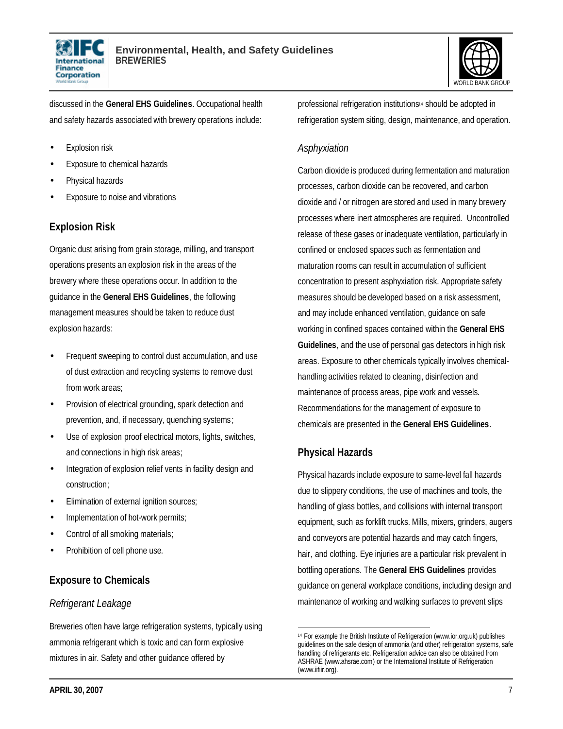



discussed in the **General EHS Guidelines**. Occupational health and safety hazards associated with brewery operations include:

- **Explosion risk**
- Exposure to chemical hazards
- Physical hazards
- Exposure to noise and vibrations

### **Explosion Risk**

Organic dust arising from grain storage, milling, and transport operations presents an explosion risk in the areas of the brewery where these operations occur. In addition to the guidance in the **General EHS Guidelines**, the following management measures should be taken to reduce dust explosion hazards:

- Frequent sweeping to control dust accumulation, and use of dust extraction and recycling systems to remove dust from work areas;
- Provision of electrical grounding, spark detection and prevention, and, if necessary, quenching systems;
- Use of explosion proof electrical motors, lights, switches, and connections in high risk areas;
- Integration of explosion relief vents in facility design and construction;
- Elimination of external ignition sources;
- Implementation of hot-work permits;
- Control of all smoking materials;
- Prohibition of cell phone use.

### **Exposure to Chemicals**

#### *Refrigerant Leakage*

Breweries often have large refrigeration systems, typically using ammonia refrigerant which is toxic and can form explosive mixtures in air. Safety and other guidance offered by

professional refrigeration institutions<sup>14</sup> should be adopted in refrigeration system siting, design, maintenance, and operation.

#### *Asphyxiation*

Carbon dioxide is produced during fermentation and maturation processes, carbon dioxide can be recovered, and carbon dioxide and / or nitrogen are stored and used in many brewery processes where inert atmospheres are required. Uncontrolled release of these gases or inadequate ventilation, particularly in confined or enclosed spaces such as fermentation and maturation rooms can result in accumulation of sufficient concentration to present asphyxiation risk. Appropriate safety measures should be developed based on a risk assessment, and may include enhanced ventilation, guidance on safe working in confined spaces contained within the **General EHS Guidelines**, and the use of personal gas detectors in high risk areas. Exposure to other chemicals typically involves chemicalhandling activities related to cleaning, disinfection and maintenance of process areas, pipe work and vessels. Recommendations for the management of exposure to chemicals are presented in the **General EHS Guidelines**.

### **Physical Hazards**

Physical hazards include exposure to same-level fall hazards due to slippery conditions, the use of machines and tools, the handling of glass bottles, and collisions with internal transport equipment, such as forklift trucks. Mills, mixers, grinders, augers and conveyors are potential hazards and may catch fingers, hair, and clothing. Eye injuries are a particular risk prevalent in bottling operations. The **General EHS Guidelines** provides guidance on general workplace conditions, including design and maintenance of working and walking surfaces to prevent slips

 $\overline{a}$ <sup>14</sup> For example the British Institute of Refrigeration (www.ior.org.uk) publishes guidelines on the safe design of ammonia (and other) refrigeration systems, safe handling of refrigerants etc. Refrigeration advice can also be obtained from ASHRAE (www.ahsrae.com) or the International Institute of Refrigeration (www.iifiir.org).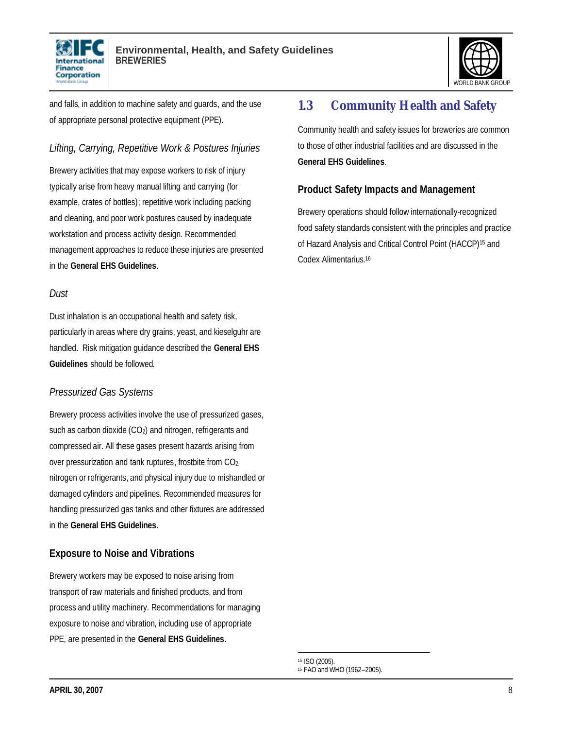



and falls, in addition to machine safety and guards, and the use of appropriate personal protective equipment (PPE).

### *Lifting, Carrying, Repetitive Work & Postures Injuries*

Brewery activities that may expose workers to risk of injury typically arise from heavy manual lifting and carrying (for example, crates of bottles); repetitive work including packing and cleaning, and poor work postures caused by inadequate workstation and process activity design. Recommended management approaches to reduce these injuries are presented in the **General EHS Guidelines**.

#### *Dust*

Dust inhalation is an occupational health and safety risk, particularly in areas where dry grains, yeast, and kieselguhr are handled. Risk mitigation guidance described the **General EHS Guidelines** should be followed.

#### *Pressurized Gas Systems*

Brewery process activities involve the use of pressurized gases, such as carbon dioxide (CO<sub>2</sub>) and nitrogen, refrigerants and compressed air. All these gases present hazards arising from over pressurization and tank ruptures, frostbite from CO2, nitrogen or refrigerants, and physical injury due to mishandled or damaged cylinders and pipelines. Recommended measures for handling pressurized gas tanks and other fixtures are addressed in the **General EHS Guidelines**.

#### **Exposure to Noise and Vibrations**

Brewery workers may be exposed to noise arising from transport of raw materials and finished products, and from process and utility machinery. Recommendations for managing exposure to noise and vibration, including use of appropriate PPE, are presented in the **General EHS Guidelines**.

# **1.3 Community Health and Safety**

Community health and safety issues for breweries are common to those of other industrial facilities and are discussed in the **General EHS Guidelines**.

#### **Product Safety Impacts and Management**

Brewery operations should follow internationally-recognized food safety standards consistent with the principles and practice of Hazard Analysis and Critical Control Point (HACCP) <sup>15</sup> and Codex Alimentarius.<sup>16</sup>

 $\overline{a}$ <sup>15</sup> ISO (2005).

<sup>16</sup> FAO and WHO (1962–2005).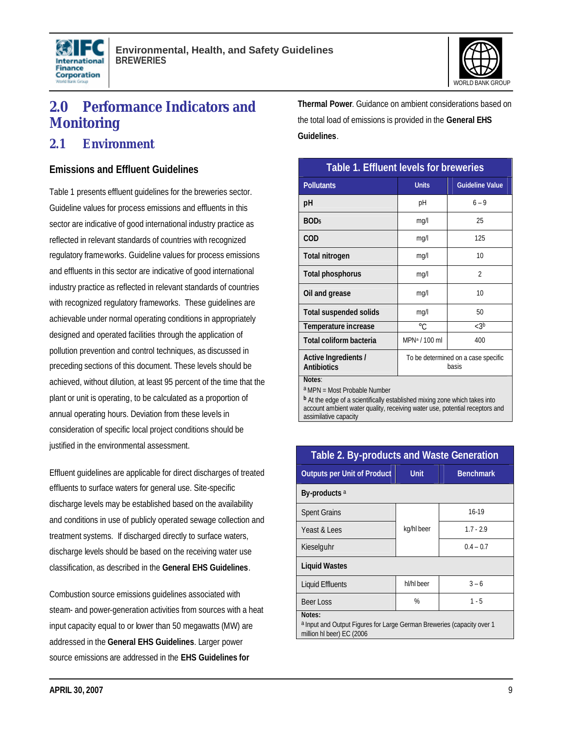



# **2.0 Performance Indicators and Monitoring**

### **2.1 Environment**

#### **Emissions and Effluent Guidelines**

Table 1 presents effluent guidelines for the breweries sector. Guideline values for process emissions and effluents in this sector are indicative of good international industry practice as reflected in relevant standards of countries with recognized regulatory frameworks. Guideline values for process emissions and effluents in this sector are indicative of good international industry practice as reflected in relevant standards of countries with recognized regulatory frameworks. These guidelines are achievable under normal operating conditions in appropriately designed and operated facilities through the application of pollution prevention and control techniques, as discussed in preceding sections of this document. These levels should be achieved, without dilution, at least 95 percent of the time that the plant or unit is operating, to be calculated as a proportion of annual operating hours. Deviation from these levels in consideration of specific local project conditions should be justified in the environmental assessment.

Effluent guidelines are applicable for direct discharges of treated effluents to surface waters for general use. Site-specific discharge levels may be established based on the availability and conditions in use of publicly operated sewage collection and treatment systems. If discharged directly to surface waters, discharge levels should be based on the receiving water use classification, as described in the **General EHS Guidelines**.

Combustion source emissions guidelines associated with steam- and power-generation activities from sources with a heat input capacity equal to or lower than 50 megawatts (MW) are addressed in the **General EHS Guidelines**. Larger power source emissions are addressed in the **EHS Guidelines for** 

**Thermal Power**. Guidance on ambient considerations based on the total load of emissions is provided in the **General EHS Guidelines**.

| Table 1. Effluent levels for breweries                                                                                      |                                              |                        |  |  |
|-----------------------------------------------------------------------------------------------------------------------------|----------------------------------------------|------------------------|--|--|
| <b>Pollutants</b>                                                                                                           | <b>Units</b>                                 | <b>Guideline Value</b> |  |  |
| рH                                                                                                                          | рH                                           | $6 - 9$                |  |  |
| BOD <sub>5</sub>                                                                                                            | mg/l                                         | 25                     |  |  |
| <b>COD</b>                                                                                                                  | mg/l                                         | 125                    |  |  |
| Total nitrogen                                                                                                              | mg/l                                         | 10                     |  |  |
| Total phosphorus                                                                                                            | mg/l                                         | $\mathfrak{D}$         |  |  |
| Oil and grease                                                                                                              | mg/l                                         | 10                     |  |  |
| <b>Total suspended solids</b>                                                                                               | mg/l                                         | 50                     |  |  |
| Temperature increase                                                                                                        | $\circ$ C                                    | $<3^{\text{b}}$        |  |  |
| Total coliform bacteria                                                                                                     | MPN <sup>a</sup> / 100 ml                    | 400                    |  |  |
| Active Ingredients /<br><b>Antibiotics</b>                                                                                  | To be determined on a case specific<br>basis |                        |  |  |
| Notes:<br>a MPN = Most Probable Number<br><b>b</b> At the edge of a scientifically established mixing zone which takes into |                                              |                        |  |  |

account ambient water quality, receiving water use, potential receptors and assimilative capacity

| Table 2. By-products and Waste Generation                                                                                |             |                  |  |  |
|--------------------------------------------------------------------------------------------------------------------------|-------------|------------------|--|--|
| <b>Outputs per Unit of Product</b>                                                                                       | <b>Unit</b> | <b>Benchmark</b> |  |  |
| By-products <sup>a</sup>                                                                                                 |             |                  |  |  |
| <b>Spent Grains</b>                                                                                                      | kg/hl beer  | 16-19            |  |  |
| Yeast & Lees                                                                                                             |             | $1.7 - 2.9$      |  |  |
| Kieselguhr                                                                                                               |             | $0.4 - 0.7$      |  |  |
| <b>Liquid Wastes</b>                                                                                                     |             |                  |  |  |
| <b>Liquid Effluents</b>                                                                                                  | hl/hl beer  | $3 - 6$          |  |  |
| Beer Loss                                                                                                                | %           | $1 - 5$          |  |  |
| Notes:<br><sup>a</sup> Input and Output Figures for Large German Breweries (capacity over 1<br>million hl beer) EC (2006 |             |                  |  |  |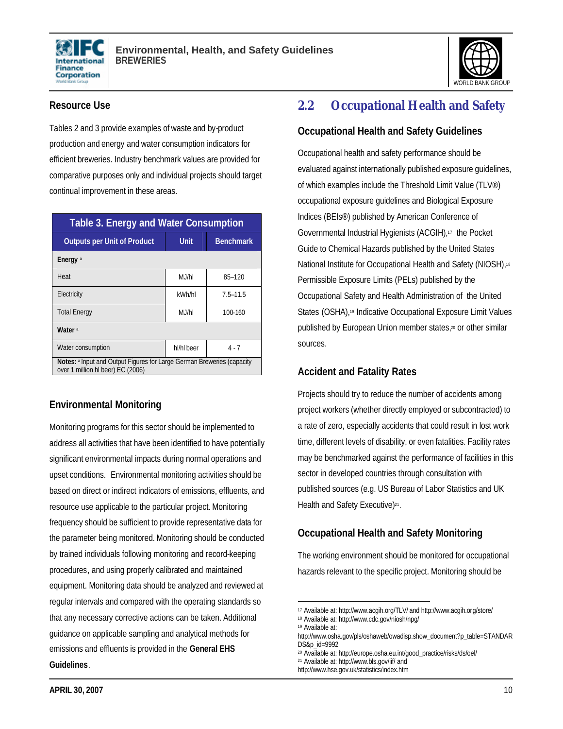



#### **Resource Use**

Tables 2 and 3 provide examples of waste and by-product production and energy and water consumption indicators for efficient breweries. Industry benchmark values are provided for comparative purposes only and individual projects should target continual improvement in these areas.

| <b>Table 3. Energy and Water Consumption</b>                                                                |            |                  |  |  |  |
|-------------------------------------------------------------------------------------------------------------|------------|------------------|--|--|--|
| <b>Outputs per Unit of Product</b>                                                                          | Unit       | <b>Benchmark</b> |  |  |  |
| Energy <sup>a</sup>                                                                                         |            |                  |  |  |  |
| Heat                                                                                                        | M.J/hl     | 85-120           |  |  |  |
| Electricity                                                                                                 | kWh/hl     | $7.5 - 11.5$     |  |  |  |
| <b>Total Energy</b>                                                                                         | M.J/hl     | 100-160          |  |  |  |
| Water <sup>a</sup>                                                                                          |            |                  |  |  |  |
| Water consumption                                                                                           | hl/hl beer | $4 - 7$          |  |  |  |
| Notes: a Input and Output Figures for Large German Breweries (capacity<br>over 1 million hl beer) EC (2006) |            |                  |  |  |  |

### **Environmental Monitoring**

Monitoring programs for this sector should be implemented to address all activities that have been identified to have potentially significant environmental impacts during normal operations and upset conditions. Environmental monitoring activities should be based on direct or indirect indicators of emissions, effluents, and resource use applicable to the particular project. Monitoring frequency should be sufficient to provide representative data for the parameter being monitored. Monitoring should be conducted by trained individuals following monitoring and record-keeping procedures, and using properly calibrated and maintained equipment. Monitoring data should be analyzed and reviewed at regular intervals and compared with the operating standards so that any necessary corrective actions can be taken. Additional guidance on applicable sampling and analytical methods for emissions and effluents is provided in the **General EHS Guidelines**.

# **2.2 Occupational Health and Safety**

#### **Occupational Health and Safety Guidelines**

Occupational health and safety performance should be evaluated against internationally published exposure guidelines, of which examples include the Threshold Limit Value (TLV®) occupational exposure guidelines and Biological Exposure Indices (BEIs®) published by American Conference of Governmental Industrial Hygienists (ACGIH),17 the Pocket Guide to Chemical Hazards published by the United States National Institute for Occupational Health and Safety (NIOSH),<sup>18</sup> Permissible Exposure Limits (PELs) published by the Occupational Safety and Health Administration of the United States (OSHA),19 Indicative Occupational Exposure Limit Values published by European Union member states,20 or other similar sources.

### **Accident and Fatality Rates**

Projects should try to reduce the number of accidents among project workers (whether directly employed or subcontracted) to a rate of zero, especially accidents that could result in lost work time, different levels of disability, or even fatalities. Facility rates may be benchmarked against the performance of facilities in this sector in developed countries through consultation with published sources (e.g. US Bureau of Labor Statistics and UK Health and Safety Executive)<sup>21</sup>.

### **Occupational Health and Safety Monitoring**

The working environment should be monitored for occupational hazards relevant to the specific project. Monitoring should be

<sup>1</sup> <sup>17</sup> Available at: http://www.acgih.org/TLV/ and http://www.acgih.org/store/

<sup>18</sup> Available at: http://www.cdc.gov/niosh/npg/

<sup>19</sup> Available at:

http://www.osha.gov/pls/oshaweb/owadisp.show\_document?p\_table=STANDAR DS&p\_id=9992

<sup>20</sup> Available at: http://europe.osha.eu.int/good\_practice/risks/ds/oel/

<sup>21</sup> Available at: http://www.bls.gov/iif/ and

http://www.hse.gov.uk/statistics/index.htm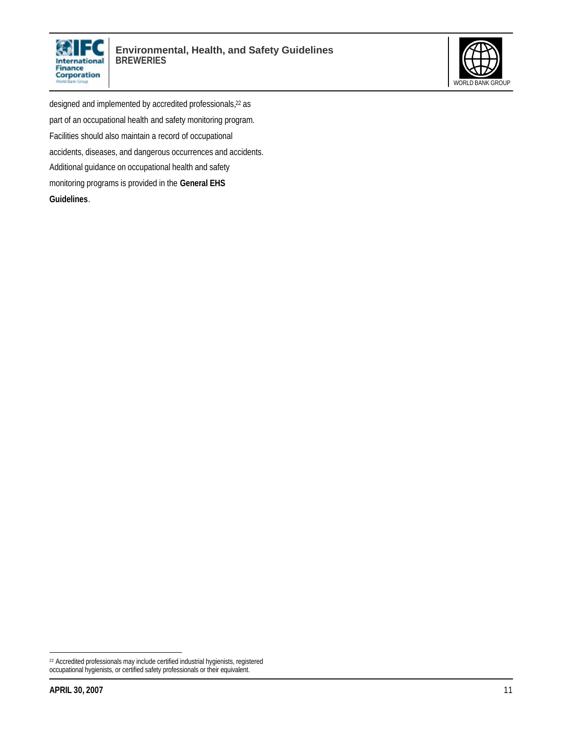



designed and implemented by accredited professionals,<sup>22</sup> as part of an occupational health and safety monitoring program. Facilities should also maintain a record of occupational accidents, diseases, and dangerous occurrences and accidents. Additional guidance on occupational health and safety monitoring programs is provided in the **General EHS Guidelines**.

<sup>22</sup> Accredited professionals may include certified industrial hygienists, registered occupational hygienists, or certified safety professionals or their equivalent.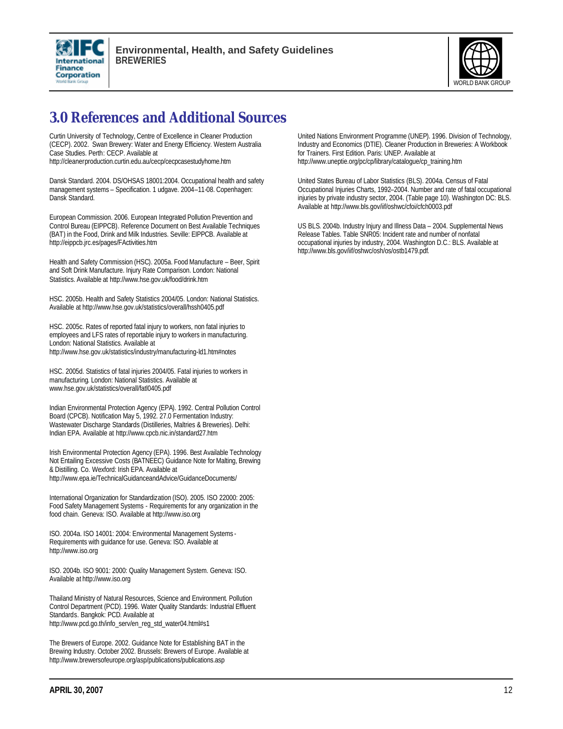



# **3.0 References and Additional Sources**

Curtin University of Technology, Centre of Excellence in Cleaner Production (CECP). 2002. Swan Brewery: Water and Energy Efficiency. Western Australia Case Studies. Perth: CECP. Available at http://cleanerproduction.curtin.edu.au/cecp/cecpcasestudyhome.htm

Dansk Standard. 2004. DS/OHSAS 18001:2004. Occupational health and safety management systems – Specification. 1 udgave. 2004–11-08. Copenhagen: Dansk Standard.

European Commission. 2006. European Integrated Pollution Prevention and Control Bureau (EIPPCB). Reference Document on Best Available Techniques (BAT) in the Food, Drink and Milk Industries. Seville: EIPPCB. Available at http://eippcb.jrc.es/pages/FActivities.htm

Health and Safety Commission (HSC). 2005a. Food Manufacture – Beer, Spirit and Soft Drink Manufacture. Injury Rate Comparison. London: National Statistics. Available at http://www.hse.gov.uk/food/drink.htm

HSC. 2005b. Health and Safety Statistics 2004/05. London: National Statistics. Available at http://www.hse.gov.uk/statistics/overall/hssh0405.pdf

HSC. 2005c. Rates of reported fatal injury to workers, non fatal injuries to employees and LFS rates of reportable injury to workers in manufacturing. London: National Statistics. Available at http://www.hse.gov.uk/statistics/industry/manufacturing-ld1.htm#notes

HSC. 2005d. Statistics of fatal injuries 2004/05. Fatal injuries to workers in manufacturing. London: National Statistics. Available at www.hse.gov.uk/statistics/overall/fatl0405.pdf

Indian Environmental Protection Agency (EPA). 1992. Central Pollution Control Board (CPCB). Notification May 5, 1992. 27.0 Fermentation Industry: Wastewater Discharge Standards (Distilleries, Maltries & Breweries). Delhi: Indian EPA. Available at http://www.cpcb.nic.in/standard27.htm

Irish Environmental Protection Agency (EPA). 1996. Best Available Technology Not Entailing Excessive Costs (BATNEEC) Guidance Note for Malting, Brewing & Distilling. Co. Wexford: Irish EPA. Available at http://www.epa.ie/TechnicalGuidanceandAdvice/GuidanceDocuments/

International Organization for Standardization (ISO). 2005. ISO 22000: 2005: Food Safety Management Systems - Requirements for any organization in the food chain. Geneva: ISO. Available at http://www.iso.org

ISO. 2004a. ISO 14001: 2004: Environmental Management Systems - Requirements with guidance for use. Geneva: ISO. Available at http://www.iso.org

ISO. 2004b. ISO 9001: 2000: Quality Management System. Geneva: ISO. Available at http://www.iso.org

Thailand Ministry of Natural Resources, Science and Environment. Pollution Control Department (PCD). 1996. Water Quality Standards: Industrial Effluent Standards. Bangkok: PCD. Available at http://www.pcd.go.th/info\_serv/en\_reg\_std\_water04.html#s1

The Brewers of Europe. 2002. Guidance Note for Establishing BAT in the Brewing Industry. October 2002. Brussels: Brewers of Europe. Available at http://www.brewersofeurope.org/asp/publications/publications.asp

United Nations Environment Programme (UNEP). 1996. Division of Technology, Industry and Economics (DTIE). Cleaner Production in Breweries: A Workbook for Trainers. First Edition. Paris: UNEP. Available at http://www.uneptie.org/pc/cp/library/catalogue/cp\_training.htm

United States Bureau of Labor Statistics (BLS). 2004a. Census of Fatal Occupational Injuries Charts, 1992–2004. Number and rate of fatal occupational injuries by private industry sector, 2004. (Table page 10). Washington DC: BLS. Available at http://www.bls.gov/iif/oshwc/cfoi/cfch0003.pdf

US BLS. 2004b. Industry Injury and Illness Data – 2004. Supplemental News Release Tables. Table SNR05: Incident rate and number of nonfatal occupational injuries by industry, 2004. Washington D.C.: BLS. Available at http://www.bls.gov/iif/oshwc/osh/os/ostb1479.pdf.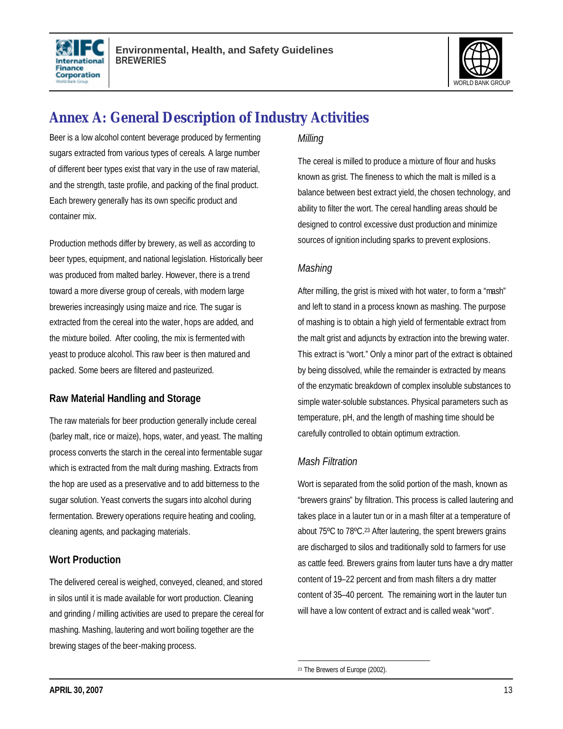



# **Annex A: General Description of Industry Activities**

Beer is a low alcohol content beverage produced by fermenting sugars extracted from various types of cereals. A large number of different beer types exist that vary in the use of raw material, and the strength, taste profile, and packing of the final product. Each brewery generally has its own specific product and container mix.

Production methods differ by brewery, as well as according to beer types, equipment, and national legislation. Historically beer was produced from malted barley. However, there is a trend toward a more diverse group of cereals, with modern large breweries increasingly using maize and rice. The sugar is extracted from the cereal into the water, hops are added, and the mixture boiled. After cooling, the mix is fermented with yeast to produce alcohol. This raw beer is then matured and packed. Some beers are filtered and pasteurized.

### **Raw Material Handling and Storage**

The raw materials for beer production generally include cereal (barley malt, rice or maize), hops, water, and yeast. The malting process converts the starch in the cereal into fermentable sugar which is extracted from the malt during mashing. Extracts from the hop are used as a preservative and to add bitterness to the sugar solution. Yeast converts the sugars into alcohol during fermentation. Brewery operations require heating and cooling, cleaning agents, and packaging materials.

### **Wort Production**

The delivered cereal is weighed, conveyed, cleaned, and stored in silos until it is made available for wort production. Cleaning and grinding / milling activities are used to prepare the cereal for mashing. Mashing, lautering and wort boiling together are the brewing stages of the beer-making process.

#### *Milling*

The cereal is milled to produce a mixture of flour and husks known as grist. The fineness to which the malt is milled is a balance between best extract yield, the chosen technology, and ability to filter the wort. The cereal handling areas should be designed to control excessive dust production and minimize sources of ignition including sparks to prevent explosions.

### *Mashing*

After milling, the grist is mixed with hot water, to form a "mash" and left to stand in a process known as mashing. The purpose of mashing is to obtain a high yield of fermentable extract from the malt grist and adjuncts by extraction into the brewing water. This extract is "wort." Only a minor part of the extract is obtained by being dissolved, while the remainder is extracted by means of the enzymatic breakdown of complex insoluble substances to simple water-soluble substances. Physical parameters such as temperature, pH, and the length of mashing time should be carefully controlled to obtain optimum extraction.

### *Mash Filtration*

Wort is separated from the solid portion of the mash, known as "brewers grains" by filtration. This process is called lautering and takes place in a lauter tun or in a mash filter at a temperature of about 75ºC to 78ºC.<sup>23</sup> After lautering, the spent brewers grains are discharged to silos and traditionally sold to farmers for use as cattle feed. Brewers grains from lauter tuns have a dry matter content of 19–22 percent and from mash filters a dry matter content of 35–40 percent. The remaining wort in the lauter tun will have a low content of extract and is called weak "wort".

 $\overline{a}$ 23 The Brewers of Europe (2002).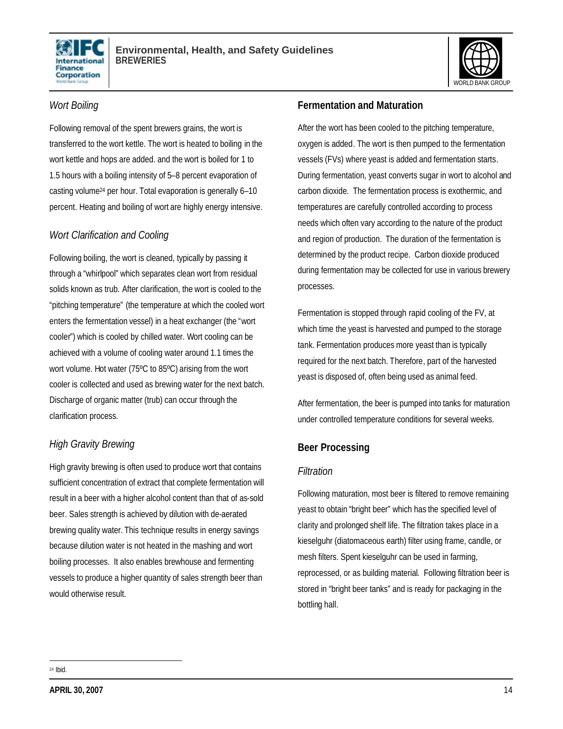



#### *Wort Boiling*

Following removal of the spent brewers grains, the wort is transferred to the wort kettle. The wort is heated to boiling in the wort kettle and hops are added. and the wort is boiled for 1 to 1.5 hours with a boiling intensity of 5–8 percent evaporation of casting volume24 per hour. Total evaporation is generally 6–10 percent. Heating and boiling of wort are highly energy intensive.

#### *Wort Clarification and Cooling*

Following boiling, the wort is cleaned, typically by passing it through a "whirlpool" which separates clean wort from residual solids known as trub. After clarification, the wort is cooled to the "pitching temperature" (the temperature at which the cooled wort enters the fermentation vessel) in a heat exchanger (the "wort cooler") which is cooled by chilled water. Wort cooling can be achieved with a volume of cooling water around 1.1 times the wort volume. Hot water (75ºC to 85ºC) arising from the wort cooler is collected and used as brewing water for the next batch. Discharge of organic matter (trub) can occur through the clarification process.

# *High Gravity Brewing*

High gravity brewing is often used to produce wort that contains sufficient concentration of extract that complete fermentation will result in a beer with a higher alcohol content than that of as-sold beer. Sales strength is achieved by dilution with de-aerated brewing quality water. This technique results in energy savings because dilution water is not heated in the mashing and wort boiling processes. It also enables brewhouse and fermenting vessels to produce a higher quantity of sales strength beer than would otherwise result.

### **Fermentation and Maturation**

After the wort has been cooled to the pitching temperature, oxygen is added. The wort is then pumped to the fermentation vessels (FVs) where yeast is added and fermentation starts. During fermentation, yeast converts sugar in wort to alcohol and carbon dioxide. The fermentation process is exothermic, and temperatures are carefully controlled according to process needs which often vary according to the nature of the product and region of production. The duration of the fermentation is determined by the product recipe. Carbon dioxide produced during fermentation may be collected for use in various brewery processes.

Fermentation is stopped through rapid cooling of the FV, at which time the yeast is harvested and pumped to the storage tank. Fermentation produces more yeast than is typically required for the next batch. Therefore, part of the harvested yeast is disposed of, often being used as animal feed.

After fermentation, the beer is pumped into tanks for maturation under controlled temperature conditions for several weeks.

### **Beer Processing**

#### *Filtration*

Following maturation, most beer is filtered to remove remaining yeast to obtain "bright beer" which has the specified level of clarity and prolonged shelf life. The filtration takes place in a kieselguhr (diatomaceous earth) filter using frame, candle, or mesh filters. Spent kieselguhr can be used in farming, reprocessed, or as building material. Following filtration beer is stored in "bright beer tanks" and is ready for packaging in the bottling hall.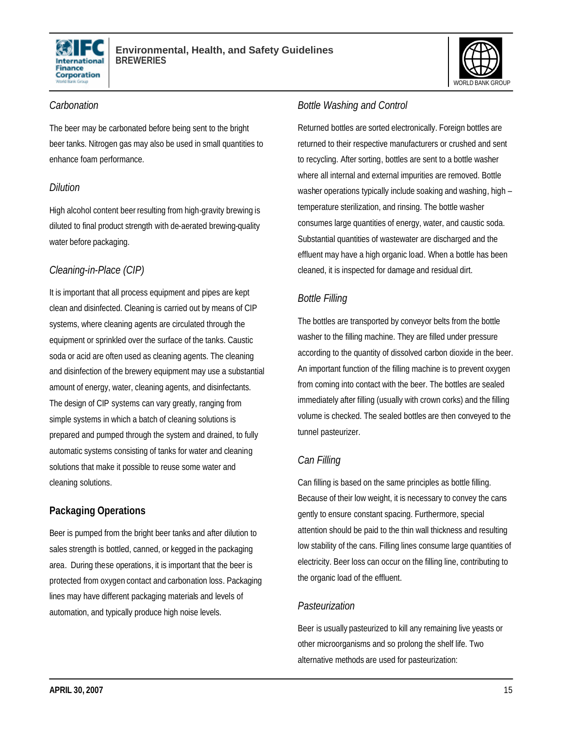



#### *Carbonation*

The beer may be carbonated before being sent to the bright beer tanks. Nitrogen gas may also be used in small quantities to enhance foam performance.

### *Dilution*

High alcohol content beer resulting from high-gravity brewing is diluted to final product strength with de-aerated brewing-quality water before packaging.

### *Cleaning-in-Place (CIP)*

It is important that all process equipment and pipes are kept clean and disinfected. Cleaning is carried out by means of CIP systems, where cleaning agents are circulated through the equipment or sprinkled over the surface of the tanks. Caustic soda or acid are often used as cleaning agents. The cleaning and disinfection of the brewery equipment may use a substantial amount of energy, water, cleaning agents, and disinfectants. The design of CIP systems can vary greatly, ranging from simple systems in which a batch of cleaning solutions is prepared and pumped through the system and drained, to fully automatic systems consisting of tanks for water and cleaning solutions that make it possible to reuse some water and cleaning solutions.

# **Packaging Operations**

Beer is pumped from the bright beer tanks and after dilution to sales strength is bottled, canned, or kegged in the packaging area. During these operations, it is important that the beer is protected from oxygen contact and carbonation loss. Packaging lines may have different packaging materials and levels of automation, and typically produce high noise levels.

#### *Bottle Washing and Control*

Returned bottles are sorted electronically. Foreign bottles are returned to their respective manufacturers or crushed and sent to recycling. After sorting, bottles are sent to a bottle washer where all internal and external impurities are removed. Bottle washer operations typically include soaking and washing, high – temperature sterilization, and rinsing. The bottle washer consumes large quantities of energy, water, and caustic soda. Substantial quantities of wastewater are discharged and the effluent may have a high organic load. When a bottle has been cleaned, it is inspected for damage and residual dirt.

### *Bottle Filling*

The bottles are transported by conveyor belts from the bottle washer to the filling machine. They are filled under pressure according to the quantity of dissolved carbon dioxide in the beer. An important function of the filling machine is to prevent oxygen from coming into contact with the beer. The bottles are sealed immediately after filling (usually with crown corks) and the filling volume is checked. The sealed bottles are then conveyed to the tunnel pasteurizer.

### *Can Filling*

Can filling is based on the same principles as bottle filling. Because of their low weight, it is necessary to convey the cans gently to ensure constant spacing. Furthermore, special attention should be paid to the thin wall thickness and resulting low stability of the cans. Filling lines consume large quantities of electricity. Beer loss can occur on the filling line, contributing to the organic load of the effluent.

#### *Pasteurization*

Beer is usually pasteurized to kill any remaining live yeasts or other microorganisms and so prolong the shelf life. Two alternative methods are used for pasteurization: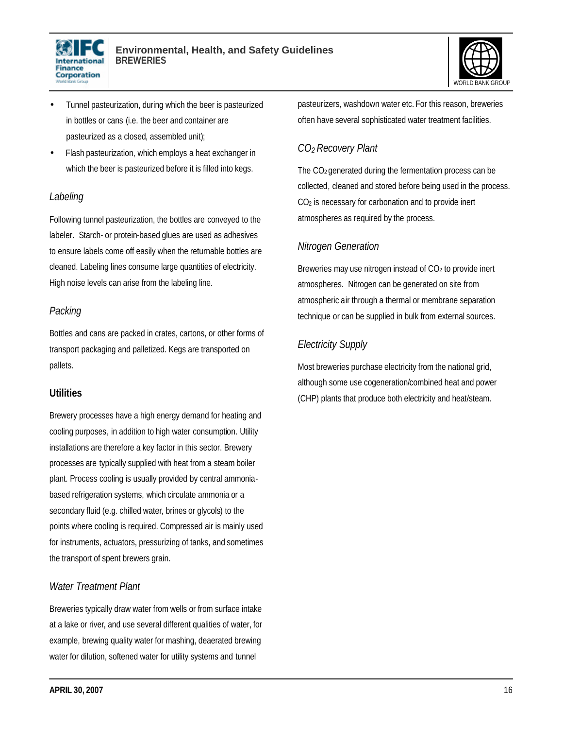



- Tunnel pasteurization, during which the beer is pasteurized in bottles or cans (i.e. the beer and container are pasteurized as a closed, assembled unit);
- Flash pasteurization, which employs a heat exchanger in which the beer is pasteurized before it is filled into kegs.

#### *Labeling*

Following tunnel pasteurization, the bottles are conveyed to the labeler. Starch- or protein-based glues are used as adhesives to ensure labels come off easily when the returnable bottles are cleaned. Labeling lines consume large quantities of electricity. High noise levels can arise from the labeling line.

#### *Packing*

Bottles and cans are packed in crates, cartons, or other forms of transport packaging and palletized. Kegs are transported on pallets.

#### **Utilities**

Brewery processes have a high energy demand for heating and cooling purposes, in addition to high water consumption. Utility installations are therefore a key factor in this sector. Brewery processes are typically supplied with heat from a steam boiler plant. Process cooling is usually provided by central ammoniabased refrigeration systems, which circulate ammonia or a secondary fluid (e.g. chilled water, brines or glycols) to the points where cooling is required. Compressed air is mainly used for instruments, actuators, pressurizing of tanks, and sometimes the transport of spent brewers grain.

### *Water Treatment Plant*

Breweries typically draw water from wells or from surface intake at a lake or river, and use several different qualities of water, for example, brewing quality water for mashing, deaerated brewing water for dilution, softened water for utility systems and tunnel

pasteurizers, washdown water etc. For this reason, breweries often have several sophisticated water treatment facilities.

# *CO2 Recovery Plant*

The CO2 generated during the fermentation process can be collected, cleaned and stored before being used in the process. CO2 is necessary for carbonation and to provide inert atmospheres as required by the process.

### *Nitrogen Generation*

Breweries may use nitrogen instead of  $CO<sub>2</sub>$  to provide inert atmospheres. Nitrogen can be generated on site from atmospheric air through a thermal or membrane separation technique or can be supplied in bulk from external sources.

# *Electricity Supply*

Most breweries purchase electricity from the national grid, although some use cogeneration/combined heat and power (CHP) plants that produce both electricity and heat/steam.